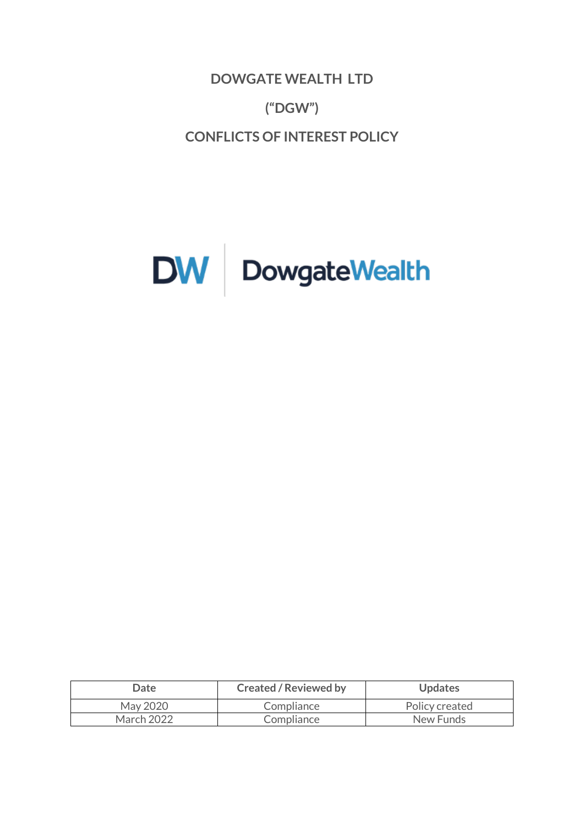**DOWGATE WEALTH LTD ("DGW") CONFLICTS OF INTEREST POLICY**



| <b>Date</b> | <b>Created / Reviewed by</b> | <b>Updates</b> |
|-------------|------------------------------|----------------|
| May 2020    | Compliance                   | Policy created |
| March 2022  | Compliance                   | New Funds      |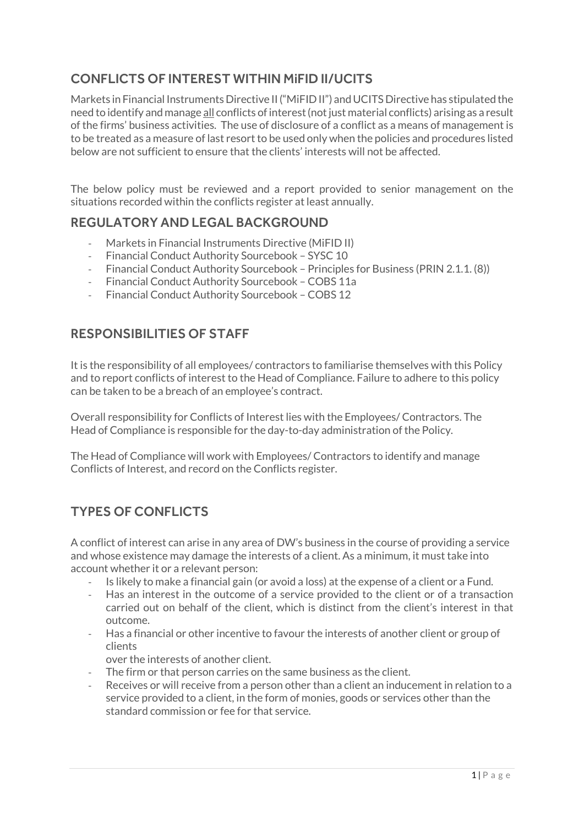# CONFLICTS OF INTEREST WITHIN MiFID II/UCITS

Markets in Financial Instruments Directive II ("MiFID II") and UCITS Directive has stipulated the need to identify and manage all conflicts of interest (not just material conflicts) arising as a result of the firms' business activities. The use of disclosure of a conflict as a means of management is to be treated as a measure of last resort to be used only when the policies and procedures listed below are not sufficient to ensure that the clients' interests will not be affected.

The below policy must be reviewed and a report provided to senior management on the situations recorded within the conflicts register at least annually.

## REGULATORY AND LEGAL BACKGROUND

- Markets in Financial Instruments Directive (MiFID II)
- Financial Conduct Authority Sourcebook SYSC 10
- Financial Conduct Authority Sourcebook Principles for Business (PRIN 2.1.1. (8))
- Financial Conduct Authority Sourcebook COBS 11a
- Financial Conduct Authority Sourcebook COBS 12

## RESPONSIBILITIES OF STAFF

It is the responsibility of all employees/ contractors to familiarise themselves with this Policy and to report conflicts of interest to the Head of Compliance. Failure to adhere to this policy can be taken to be a breach of an employee's contract.

Overall responsibility for Conflicts of Interest lies with the Employees/ Contractors. The Head of Compliance is responsible for the day-to-day administration of the Policy.

The Head of Compliance will work with Employees/ Contractors to identify and manage Conflicts of Interest, and record on the Conflicts register.

## TYPES OF CONFLICTS

A conflict of interest can arise in any area of DW's business in the course of providing a service and whose existence may damage the interests of a client. As a minimum, it must take into account whether it or a relevant person:

- Is likely to make a financial gain (or avoid a loss) at the expense of a client or a Fund.
- Has an interest in the outcome of a service provided to the client or of a transaction carried out on behalf of the client, which is distinct from the client's interest in that outcome.
- Has a financial or other incentive to favour the interests of another client or group of clients
	- over the interests of another client.
- The firm or that person carries on the same business as the client.
- Receives or will receive from a person other than a client an inducement in relation to a service provided to a client, in the form of monies, goods or services other than the standard commission or fee for that service.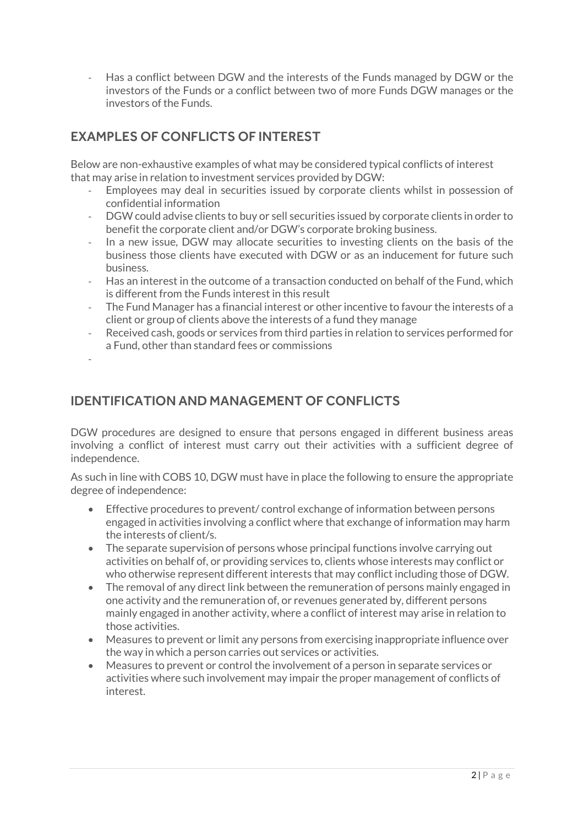- Has a conflict between DGW and the interests of the Funds managed by DGW or the investors of the Funds or a conflict between two of more Funds DGW manages or the investors of the Funds.

# EXAMPLES OF CONFLICTS OF INTEREST

Below are non-exhaustive examples of what may be considered typical conflicts of interest that may arise in relation to investment services provided by DGW:

- Employees may deal in securities issued by corporate clients whilst in possession of confidential information
- DGW could advise clients to buy or sell securities issued by corporate clients in order to benefit the corporate client and/or DGW's corporate broking business.
- In a new issue, DGW may allocate securities to investing clients on the basis of the business those clients have executed with DGW or as an inducement for future such business.
- Has an interest in the outcome of a transaction conducted on behalf of the Fund, which is different from the Funds interest in this result
- The Fund Manager has a financial interest or other incentive to favour the interests of a client or group of clients above the interests of a fund they manage
- Received cash, goods or services from third parties in relation to services performed for a Fund, other than standard fees or commissions
- -

## IDENTIFICATION AND MANAGEMENT OF CONFLICTS

DGW procedures are designed to ensure that persons engaged in different business areas involving a conflict of interest must carry out their activities with a sufficient degree of independence.

As such in line with COBS 10, DGW must have in place the following to ensure the appropriate degree of independence:

- Effective procedures to prevent/ control exchange of information between persons engaged in activities involving a conflict where that exchange of information may harm the interests of client/s.
- The separate supervision of persons whose principal functions involve carrying out activities on behalf of, or providing services to, clients whose interests may conflict or who otherwise represent different interests that may conflict including those of DGW.
- The removal of any direct link between the remuneration of persons mainly engaged in one activity and the remuneration of, or revenues generated by, different persons mainly engaged in another activity, where a conflict of interest may arise in relation to those activities.
- Measures to prevent or limit any persons from exercising inappropriate influence over the way in which a person carries out services or activities.
- Measures to prevent or control the involvement of a person in separate services or activities where such involvement may impair the proper management of conflicts of interest.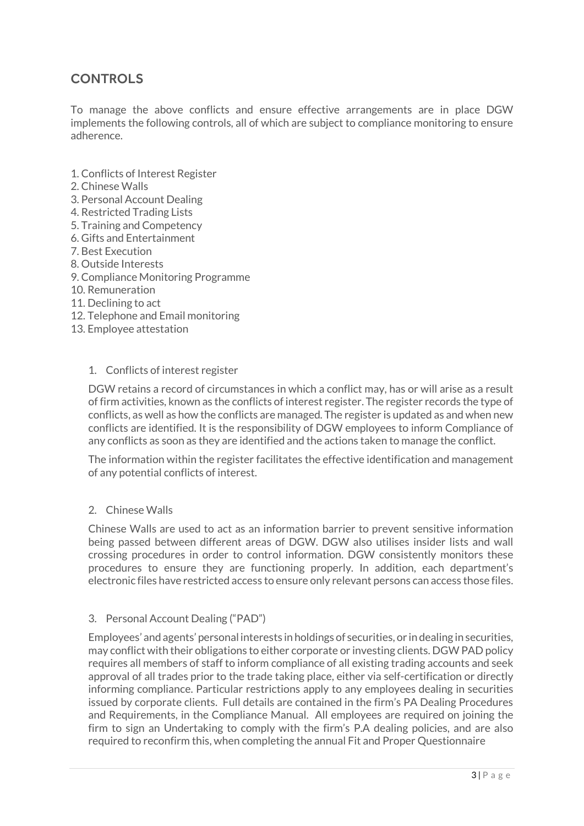## **CONTROLS**

To manage the above conflicts and ensure effective arrangements are in place DGW implements the following controls, all of which are subject to compliance monitoring to ensure adherence.

- 1. Conflicts of Interest Register
- 2. Chinese Walls
- 3. Personal Account Dealing
- 4. Restricted Trading Lists
- 5. Training and Competency
- 6. Gifts and Entertainment
- 7. Best Execution
- 8. Outside Interests
- 9. Compliance Monitoring Programme
- 10. Remuneration
- 11. Declining to act
- 12. Telephone and Email monitoring
- 13. Employee attestation

### 1. Conflicts of interest register

DGW retains a record of circumstances in which a conflict may, has or will arise as a result of firm activities, known as the conflicts of interest register. The register records the type of conflicts, as well as how the conflicts are managed. The register is updated as and when new conflicts are identified. It is the responsibility of DGW employees to inform Compliance of any conflicts as soon as they are identified and the actions taken to manage the conflict.

The information within the register facilitates the effective identification and management of any potential conflicts of interest.

### 2. Chinese Walls

Chinese Walls are used to act as an information barrier to prevent sensitive information being passed between different areas of DGW. DGW also utilises insider lists and wall crossing procedures in order to control information. DGW consistently monitors these procedures to ensure they are functioning properly. In addition, each department's electronic files have restricted access to ensure only relevant persons can access those files.

### 3. Personal Account Dealing ("PAD")

Employees' and agents' personal interests in holdings of securities, or in dealing in securities, may conflict with their obligations to either corporate or investing clients. DGW PAD policy requires all members of staff to inform compliance of all existing trading accounts and seek approval of all trades prior to the trade taking place, either via self-certification or directly informing compliance. Particular restrictions apply to any employees dealing in securities issued by corporate clients. Full details are contained in the firm's PA Dealing Procedures and Requirements, in the Compliance Manual. All employees are required on joining the firm to sign an Undertaking to comply with the firm's P.A dealing policies, and are also required to reconfirm this, when completing the annual Fit and Proper Questionnaire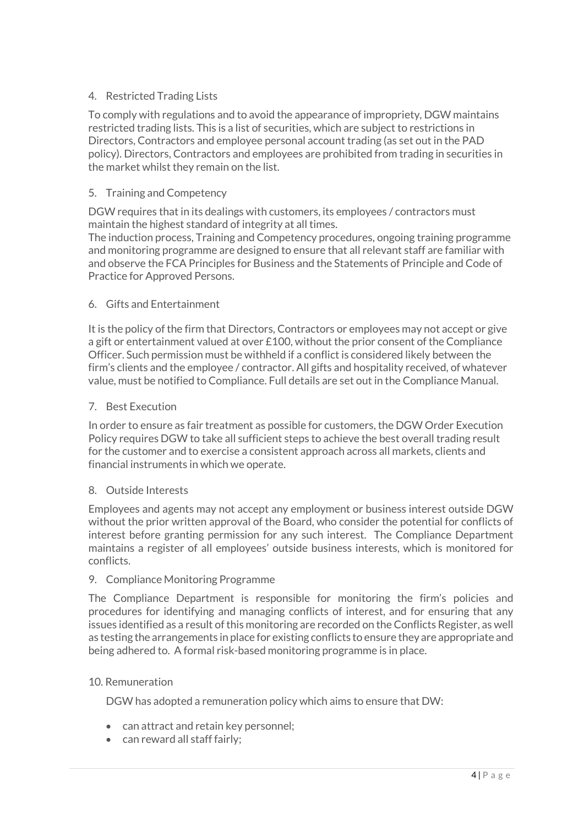## 4. Restricted Trading Lists

To comply with regulations and to avoid the appearance of impropriety, DGW maintains restricted trading lists. This is a list of securities, which are subject to restrictions in Directors, Contractors and employee personal account trading (as set out in the PAD policy). Directors, Contractors and employees are prohibited from trading in securities in the market whilst they remain on the list.

## 5. Training and Competency

DGW requires that in its dealings with customers, its employees / contractors must maintain the highest standard of integrity at all times.

The induction process, Training and Competency procedures, ongoing training programme and monitoring programme are designed to ensure that all relevant staff are familiar with and observe the FCA Principles for Business and the Statements of Principle and Code of Practice for Approved Persons.

## 6. Gifts and Entertainment

It is the policy of the firm that Directors, Contractors or employees may not accept or give a gift or entertainment valued at over £100, without the prior consent of the Compliance Officer. Such permission must be withheld if a conflict is considered likely between the firm's clients and the employee / contractor. All gifts and hospitality received, of whatever value, must be notified to Compliance. Full details are set out in the Compliance Manual.

### 7. Best Execution

In order to ensure as fair treatment as possible for customers, the DGW Order Execution Policy requires DGW to take all sufficient steps to achieve the best overall trading result for the customer and to exercise a consistent approach across all markets, clients and financial instruments in which we operate.

### 8. Outside Interests

Employees and agents may not accept any employment or business interest outside DGW without the prior written approval of the Board, who consider the potential for conflicts of interest before granting permission for any such interest. The Compliance Department maintains a register of all employees' outside business interests, which is monitored for conflicts.

### 9. Compliance Monitoring Programme

The Compliance Department is responsible for monitoring the firm's policies and procedures for identifying and managing conflicts of interest, and for ensuring that any issues identified as a result of this monitoring are recorded on the Conflicts Register, as well as testing the arrangements in place for existing conflicts to ensure they are appropriate and being adhered to. A formal risk-based monitoring programme is in place.

### 10. Remuneration

DGW has adopted a remuneration policy which aims to ensure that DW:

- can attract and retain key personnel;
- can reward all staff fairly;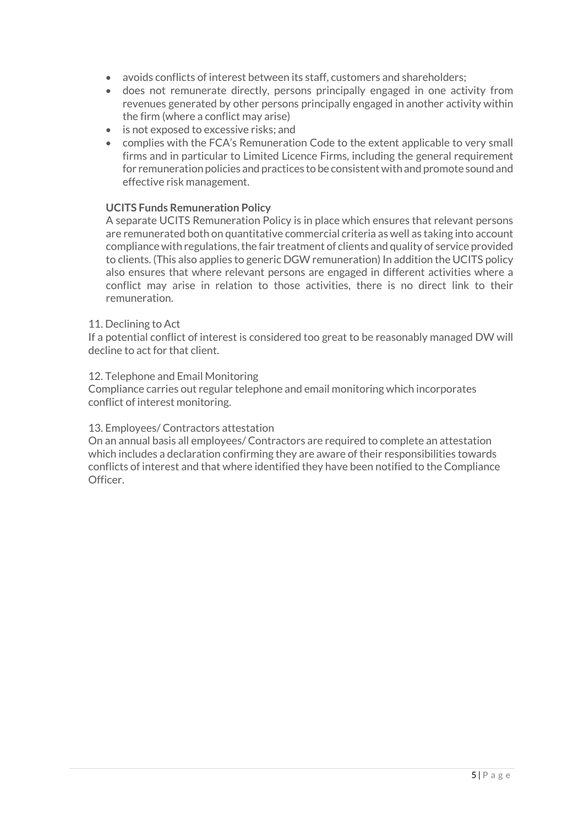- avoids conflicts of interest between its staff, customers and shareholders;
- does not remunerate directly, persons principally engaged in one activity from revenues generated by other persons principally engaged in another activity within the firm (where a conflict may arise)
- is not exposed to excessive risks; and
- complies with the FCA's Remuneration Code to the extent applicable to very small firms and in particular to Limited Licence Firms, including the general requirement for remuneration policies and practices to be consistent with and promote sound and effective risk management.

## **UCITS Funds Remuneration Policy**

A separate UCITS Remuneration Policy is in place which ensures that relevant persons are remunerated both on quantitative commercial criteria as well as taking into account compliance with regulations, the fair treatment of clients and quality of service provided to clients. (This also applies to generic DGW remuneration) In addition the UCITS policy also ensures that where relevant persons are engaged in different activities where a conflict may arise in relation to those activities, there is no direct link to their remuneration.

#### 11. Declining to Act

If a potential conflict of interest is considered too great to be reasonably managed DW will decline to act for that client.

### 12. Telephone and Email Monitoring

Compliance carries out regular telephone and email monitoring which incorporates conflict of interest monitoring.

### 13. Employees/ Contractors attestation

On an annual basis all employees/ Contractors are required to complete an attestation which includes a declaration confirming they are aware of their responsibilities towards conflicts of interest and that where identified they have been notified to the Compliance Officer.